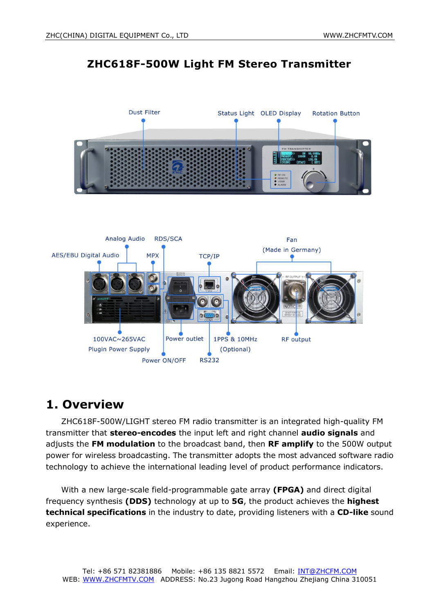### **ZHC618F-500W Light FM Stereo Transmitter**





## **1. Overview**

ZHC618F-500W/LIGHT stereo FM radio transmitter is an integrated high-quality FM transmitter that **stereo-encodes** the input left and right channel **audio signals** and adjusts the **FM modulation** to the broadcast band, then **RF amplify** to the 500W output power for wireless broadcasting. The transmitter adopts the most advanced software radio technology to achieve the international leading level of product performance indicators.

With a new large-scale field-programmable gate array **(FPGA)** and direct digital frequency synthesis **(DDS)** technology at up to **5G**, the product achieves the **highest technical specifications** in the industry to date, providing listeners with a **CD-like** sound experience.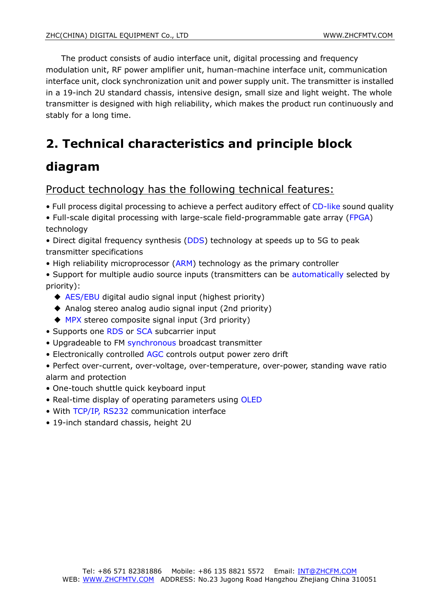The product consists of audio interface unit, digital processing and frequency modulation unit, RF power amplifier unit, human-machine interface unit, communication interface unit, clock synchronization unit and power supply unit. The transmitter is installed in a 19-inch 2U standard chassis, intensive design, small size and light weight. The whole transmitter is designed with high reliability, which makes the product run continuously and stably for a long time.

# **2. Technical characteristics and principle block**

## **diagram**

### Product technology has the following technical features:

- Full process digital processing to achieve a perfect auditory effect of CD-like sound quality
- Full-scale digital processing with large-scale field-programmable gate array (FPGA) technology
- Direct digital frequency synthesis (DDS) technology at speeds up to 5G to peak transmitter specifications
- High reliability microprocessor (ARM) technology as the primary controller
- Support for multiple audio source inputs (transmitters can be automatically selected by priority):
	- ◆ AES/EBU digital audio signal input (highest priority)
	- ◆ Analog stereo analog audio signal input (2nd priority)
	- ◆ MPX stereo composite signal input (3rd priority)
- Supports one RDS or SCA subcarrier input
- Upgradeable to FM synchronous broadcast transmitter
- Electronically controlled AGC controls output power zero drift
- Perfect over-current, over-voltage, over-temperature, over-power, standing wave ratio alarm and protection
- One-touch shuttle quick keyboard input
- Real-time display of operating parameters using OLED
- With TCP/IP, RS232 communication interface
- 19-inch standard chassis, height 2U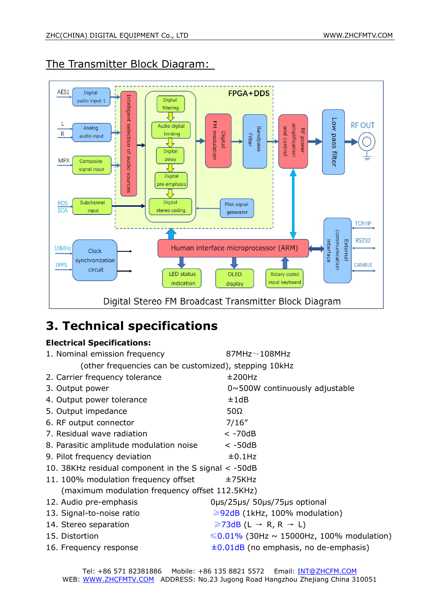

## The Transmitter Block Diagram:

## **3. Technical specifications**

#### **Electrical Specifications:**

| 1. Nominal emission frequency                         | $87MHz\sim108MHz$                                  |  |  |  |
|-------------------------------------------------------|----------------------------------------------------|--|--|--|
| (other frequencies can be customized), stepping 10kHz |                                                    |  |  |  |
| 2. Carrier frequency tolerance                        | ±200Hz                                             |  |  |  |
| 3. Output power                                       | $0 \sim 500W$ continuously adjustable              |  |  |  |
| 4. Output power tolerance                             | ±1dB                                               |  |  |  |
| 5. Output impedance                                   | $50\Omega$                                         |  |  |  |
| 6. RF output connector                                | 7/16''                                             |  |  |  |
| 7. Residual wave radiation                            | $< -70dB$                                          |  |  |  |
| 8. Parasitic amplitude modulation noise               | $< -50dB$                                          |  |  |  |
| 9. Pilot frequency deviation                          | $±0.1$ Hz                                          |  |  |  |
| 10. 38KHz residual component in the S signal < -50dB  |                                                    |  |  |  |
| 11. 100% modulation frequency offset                  | ±75KHz                                             |  |  |  |
| (maximum modulation frequency offset 112.5KHz)        |                                                    |  |  |  |
| 12. Audio pre-emphasis                                | 0µs/25µs/ 50µs/75µs optional                       |  |  |  |
| 13. Signal-to-noise ratio                             | $\geq$ 92dB (1kHz, 100% modulation)                |  |  |  |
| 14. Stereo separation                                 | $\geq$ 73dB (L $\rightarrow$ R, R $\rightarrow$ L) |  |  |  |
| 15. Distortion                                        | $\leq 0.01\%$ (30Hz ~ 15000Hz, 100% modulation)    |  |  |  |
| 16. Frequency response                                | $\pm 0.01$ dB (no emphasis, no de-emphasis)        |  |  |  |